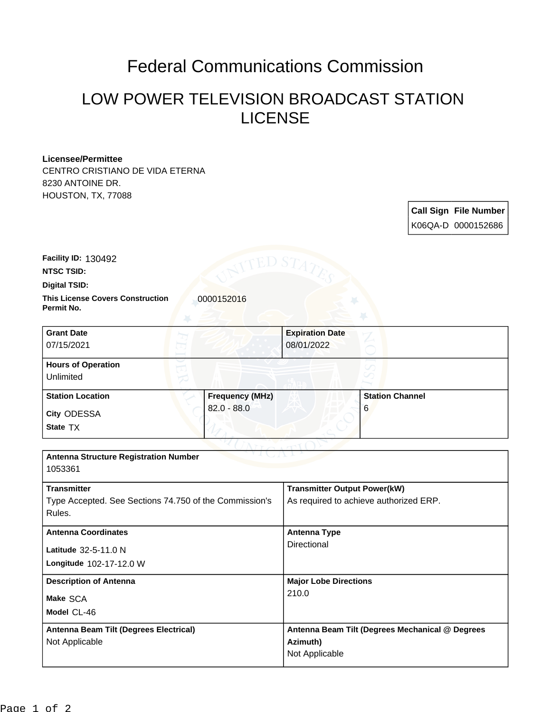## Federal Communications Commission

## LOW POWER TELEVISION BROADCAST STATION LICENSE

## **Licensee/Permittee**

CENTRO CRISTIANO DE VIDA ETERNA 8230 ANTOINE DR. HOUSTON, TX, 77088

| <b>Call Sign File Number</b> |
|------------------------------|
| K06QA-D 0000152686           |

**NTSC TSID: Facility ID:** 130492

**Digital TSID:**

**This License Covers Construction 10000152016 Permit No.**

| <b>Grant Date</b><br>07/15/2021        |                        | <b>Expiration Date</b><br>08/01/2022 |                        |  |
|----------------------------------------|------------------------|--------------------------------------|------------------------|--|
| <b>Hours of Operation</b><br>Unlimited |                        |                                      | U                      |  |
| <b>Station Location</b>                | <b>Frequency (MHz)</b> |                                      | <b>Station Channel</b> |  |
| <b>City ODESSA</b><br>State TX         | $82.0 - 88.0$          |                                      | 6                      |  |

| <b>Antenna Structure Registration Number</b><br>1053361 |                                                 |  |  |  |  |
|---------------------------------------------------------|-------------------------------------------------|--|--|--|--|
|                                                         |                                                 |  |  |  |  |
| <b>Transmitter</b>                                      | <b>Transmitter Output Power(kW)</b>             |  |  |  |  |
| Type Accepted. See Sections 74.750 of the Commission's  | As required to achieve authorized ERP.          |  |  |  |  |
| Rules.                                                  |                                                 |  |  |  |  |
| <b>Antenna Coordinates</b>                              | Antenna Type                                    |  |  |  |  |
| Latitude 32-5-11.0 N                                    | Directional                                     |  |  |  |  |
| Longitude 102-17-12.0 W                                 |                                                 |  |  |  |  |
| <b>Description of Antenna</b>                           | <b>Major Lobe Directions</b>                    |  |  |  |  |
| Make SCA                                                | 210.0                                           |  |  |  |  |
| Model CL-46                                             |                                                 |  |  |  |  |
| Antenna Beam Tilt (Degrees Electrical)                  | Antenna Beam Tilt (Degrees Mechanical @ Degrees |  |  |  |  |
| Not Applicable                                          | Azimuth)                                        |  |  |  |  |
|                                                         | Not Applicable                                  |  |  |  |  |